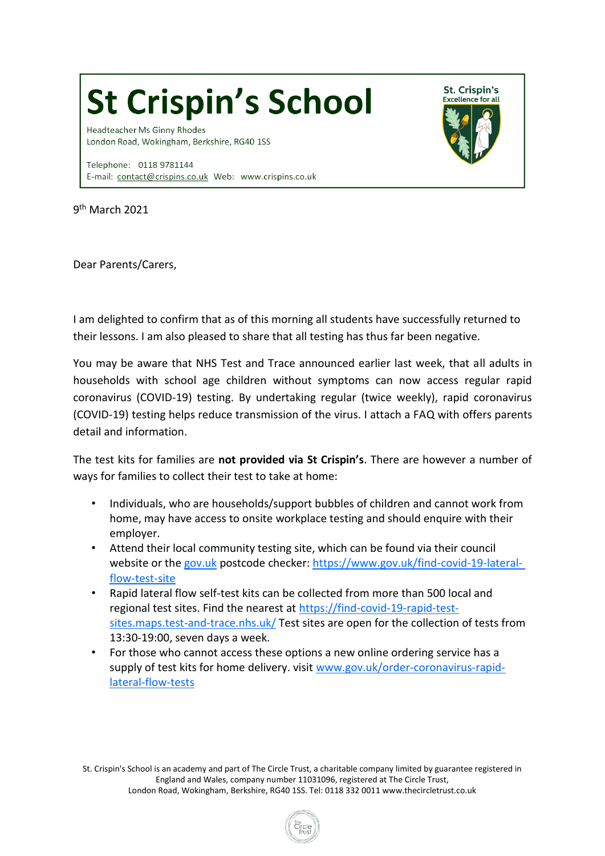## **St Crispin's School**

Headteacher Ms Ginny Rhodes London Road, Wokingham, Berkshire, RG40 1SS

Telephone: 0118 9781144 E-mail: contact@crispins.co.uk Web: www.crispins.co.uk



Dear Parents/Carers,

I am delighted to confirm that as of this morning all students have successfully returned to their lessons. I am also pleased to share that all testing has thus far been negative.

St. Crispin's

**Excellence for all** 

You may be aware that NHS Test and Trace announced earlier last week, that all adults in households with school age children without symptoms can now access regular rapid coronavirus (COVID-19) testing. By undertaking regular (twice weekly), rapid coronavirus (COVID-19) testing helps reduce transmission of the virus. I attach a FAQ with offers parents detail and information.

The test kits for families are **not provided via St Crispin's**. There are however a number of ways for families to collect their test to take at home:

- Individuals, who are households/support bubbles of children and cannot work from home, may have access to onsite workplace testing and should enquire with their employer.
- Attend their local community testing site, which can be found via their council website or the [gov.uk](http://gov.uk/) postcode checker: [https://www.gov.uk/find-covid-19-lateral](https://www.gov.uk/find-covid-19-lateral-flow-test-site)[flow-test-site](https://www.gov.uk/find-covid-19-lateral-flow-test-site)
- Rapid lateral flow self-test kits can be collected from more than 500 local and regional test sites. Find the nearest at [https://find-covid-19-rapid-test](https://find-covid-19-rapid-test-sites.maps.test-and-trace.nhs.uk/)[sites.maps.test-and-trace.nhs.uk/](https://find-covid-19-rapid-test-sites.maps.test-and-trace.nhs.uk/) Test sites are open for the collection of tests from 13:30-19:00, seven days a week.
- For those who cannot access these options a new online ordering service has a supply of test kits for home delivery. visit [www.gov.uk/order-coronavirus-rapid](http://www.gov.uk/order-coronavirus-rapid-lateral-flow-tests)[lateral-flow-tests](http://www.gov.uk/order-coronavirus-rapid-lateral-flow-tests)

St. Crispin's School is an academy and part of The Circle Trust, a charitable company limited by guarantee registered in England and Wales, company number 11031096, registered at The Circle Trust, London Road, Wokingham, Berkshire, RG40 1SS. Tel: 0118 332 00[11 www.thecircletrust.co.uk](http://www.thecircletrust.co.uk/)